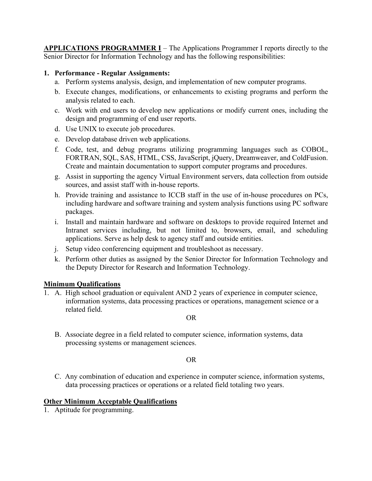**APPLICATIONS PROGRAMMER I** – The Applications Programmer I reports directly to the Senior Director for Information Technology and has the following responsibilities:

# **1. Performance - Regular Assignments:**

- a. Perform systems analysis, design, and implementation of new computer programs.
- b. Execute changes, modifications, or enhancements to existing programs and perform the analysis related to each.
- c. Work with end users to develop new applications or modify current ones, including the design and programming of end user reports.
- d. Use UNIX to execute job procedures.
- e. Develop database driven web applications.
- f. Code, test, and debug programs utilizing programming languages such as COBOL, FORTRAN, SQL, SAS, HTML, CSS, JavaScript, jQuery, Dreamweaver, and ColdFusion. Create and maintain documentation to support computer programs and procedures.
- g. Assist in supporting the agency Virtual Environment servers, data collection from outside sources, and assist staff with in-house reports.
- h. Provide training and assistance to ICCB staff in the use of in-house procedures on PCs, including hardware and software training and system analysis functions using PC software packages.
- i. Install and maintain hardware and software on desktops to provide required Internet and Intranet services including, but not limited to, browsers, email, and scheduling applications. Serve as help desk to agency staff and outside entities.
- j. Setup video conferencing equipment and troubleshoot as necessary.
- k. Perform other duties as assigned by the Senior Director for Information Technology and the Deputy Director for Research and Information Technology.

# **Minimum Qualifications**

1. A. High school graduation or equivalent AND 2 years of experience in computer science, information systems, data processing practices or operations, management science or a related field.

#### OR

B. Associate degree in a field related to computer science, information systems, data processing systems or management sciences.

### OR

C. Any combination of education and experience in computer science, information systems, data processing practices or operations or a related field totaling two years.

### **Other Minimum Acceptable Qualifications**

1. Aptitude for programming.